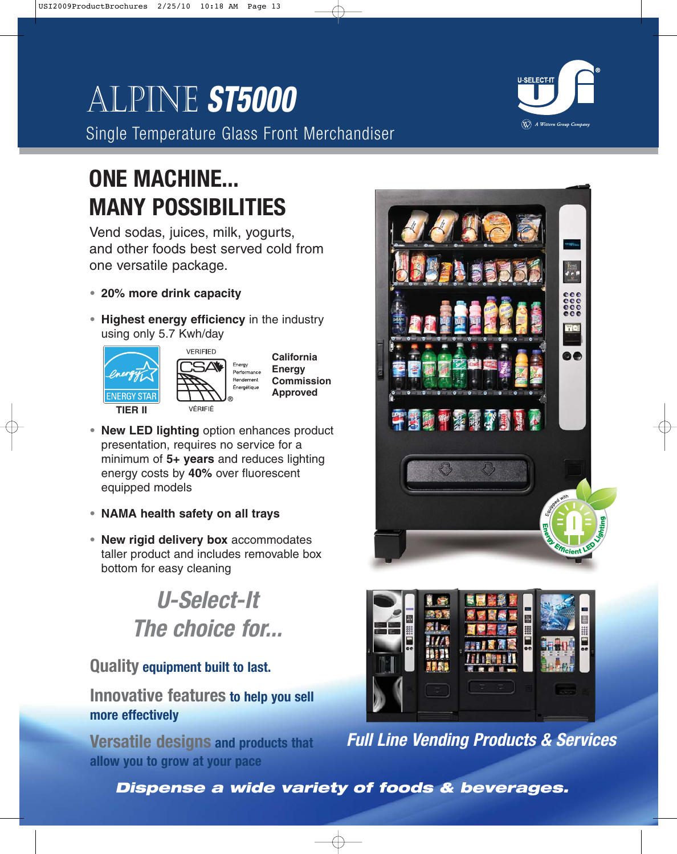# Alpine **ST5000**

 $\left(\!\!\!\begin{array}{c}\bigotimes\! \bigtriangleup\! \end{array}\!\!\!\right)$  A Wittern Group Company

Single Temperature Glass Front Merchandiser

## **ONE MACHINE... MANY POSSIBILITIES**

Vend sodas, juices, milk, yogurts, and other foods best served cold from one versatile package.

- **• 20% more drink capacity**
- **• Highest energy efficiency** in the industry using only 5.7 Kwh/day



- **• New LED lighting** option enhances product presentation, requires no service for a minimum of **5+ years** and reduces lighting energy costs by **40%** over fluorescent equipped models
- **• NAMA health safety on all trays**
- **• New rigid delivery box** accommodates taller product and includes removable box bottom for easy cleaning

## **U-Select-It The choice for...**

## **Quality equipment built to last.**

## **Innovative features to help you sell more effectively**

**Versatile designs and products that allow you to grow at your pace**





**Full Line Vending Products & Services**

**Dispense a wide variety of foods & beverages.**